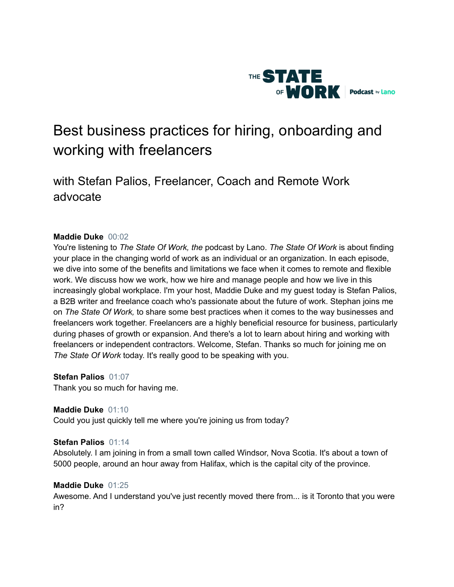

# Best business practices for hiring, onboarding and working with freelancers

# with Stefan Palios, Freelancer, Coach and Remote Work advocate

# **Maddie Duke** 00:02

You're listening to *The State Of Work, the* podcast by Lano. *The State Of Work* is about finding your place in the changing world of work as an individual or an organization. In each episode, we dive into some of the benefits and limitations we face when it comes to remote and flexible work. We discuss how we work, how we hire and manage people and how we live in this increasingly global workplace. I'm your host, Maddie Duke and my guest today is Stefan Palios, a B2B writer and freelance coach who's passionate about the future of work. Stephan joins me on *The State Of Work,* to share some best practices when it comes to the way businesses and freelancers work together. Freelancers are a highly beneficial resource for business, particularly during phases of growth or expansion. And there's a lot to learn about hiring and working with freelancers or independent contractors. Welcome, Stefan. Thanks so much for joining me on *The State Of Work* today. It's really good to be speaking with you.

# **Stefan Palios** 01:07

Thank you so much for having me.

# **Maddie Duke** 01:10

Could you just quickly tell me where you're joining us from today?

#### **Stefan Palios** 01:14

Absolutely. I am joining in from a small town called Windsor, Nova Scotia. It's about a town of 5000 people, around an hour away from Halifax, which is the capital city of the province.

#### **Maddie Duke** 01:25

Awesome. And I understand you've just recently moved there from... is it Toronto that you were in?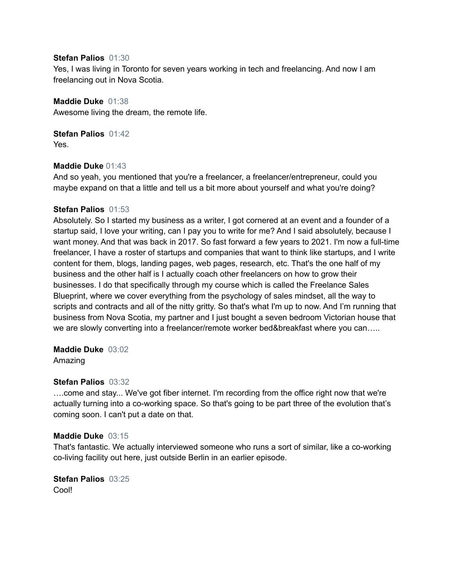#### **Stefan Palios** 01:30

Yes, I was living in Toronto for seven years working in tech and freelancing. And now I am freelancing out in Nova Scotia.

**Maddie Duke** 01:38

Awesome living the dream, the remote life.

**Stefan Palios** 01:42 Yes.

# **Maddie Duke** 01:43

And so yeah, you mentioned that you're a freelancer, a freelancer/entrepreneur, could you maybe expand on that a little and tell us a bit more about yourself and what you're doing?

#### **Stefan Palios** 01:53

Absolutely. So I started my business as a writer, I got cornered at an event and a founder of a startup said, I love your writing, can I pay you to write for me? And I said absolutely, because I want money. And that was back in 2017. So fast forward a few years to 2021. I'm now a full-time freelancer, I have a roster of startups and companies that want to think like startups, and I write content for them, blogs, landing pages, web pages, research, etc. That's the one half of my business and the other half is I actually coach other freelancers on how to grow their businesses. I do that specifically through my course which is called the Freelance Sales Blueprint, where we cover everything from the psychology of sales mindset, all the way to scripts and contracts and all of the nitty gritty. So that's what I'm up to now. And I'm running that business from Nova Scotia, my partner and I just bought a seven bedroom Victorian house that we are slowly converting into a freelancer/remote worker bed&breakfast where you can.....

# **Maddie Duke** 03:02

Amazing

# **Stefan Palios** 03:32

….come and stay... We've got fiber internet. I'm recording from the office right now that we're actually turning into a co-working space. So that's going to be part three of the evolution that's coming soon. I can't put a date on that.

# **Maddie Duke** 03:15

That's fantastic. We actually interviewed someone who runs a sort of similar, like a co-working co-living facility out here, just outside Berlin in an earlier episode.

**Stefan Palios** 03:25 Cool!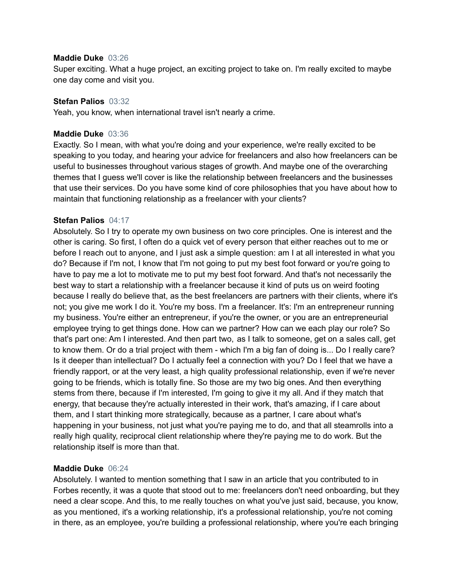#### **Maddie Duke** 03:26

Super exciting. What a huge project, an exciting project to take on. I'm really excited to maybe one day come and visit you.

#### **Stefan Palios** 03:32

Yeah, you know, when international travel isn't nearly a crime.

#### **Maddie Duke** 03:36

Exactly. So I mean, with what you're doing and your experience, we're really excited to be speaking to you today, and hearing your advice for freelancers and also how freelancers can be useful to businesses throughout various stages of growth. And maybe one of the overarching themes that I guess we'll cover is like the relationship between freelancers and the businesses that use their services. Do you have some kind of core philosophies that you have about how to maintain that functioning relationship as a freelancer with your clients?

#### **Stefan Palios** 04:17

Absolutely. So I try to operate my own business on two core principles. One is interest and the other is caring. So first, I often do a quick vet of every person that either reaches out to me or before I reach out to anyone, and I just ask a simple question: am I at all interested in what you do? Because if I'm not, I know that I'm not going to put my best foot forward or you're going to have to pay me a lot to motivate me to put my best foot forward. And that's not necessarily the best way to start a relationship with a freelancer because it kind of puts us on weird footing because I really do believe that, as the best freelancers are partners with their clients, where it's not; you give me work I do it. You're my boss. I'm a freelancer. It's: I'm an entrepreneur running my business. You're either an entrepreneur, if you're the owner, or you are an entrepreneurial employee trying to get things done. How can we partner? How can we each play our role? So that's part one: Am I interested. And then part two, as I talk to someone, get on a sales call, get to know them. Or do a trial project with them - which I'm a big fan of doing is... Do I really care? Is it deeper than intellectual? Do I actually feel a connection with you? Do I feel that we have a friendly rapport, or at the very least, a high quality professional relationship, even if we're never going to be friends, which is totally fine. So those are my two big ones. And then everything stems from there, because if I'm interested, I'm going to give it my all. And if they match that energy, that because they're actually interested in their work, that's amazing, if I care about them, and I start thinking more strategically, because as a partner, I care about what's happening in your business, not just what you're paying me to do, and that all steamrolls into a really high quality, reciprocal client relationship where they're paying me to do work. But the relationship itself is more than that.

#### **Maddie Duke** 06:24

Absolutely. I wanted to mention something that I saw in an article that you contributed to in Forbes recently, it was a quote that stood out to me: freelancers don't need onboarding, but they need a clear scope. And this, to me really touches on what you've just said, because, you know, as you mentioned, it's a working relationship, it's a professional relationship, you're not coming in there, as an employee, you're building a professional relationship, where you're each bringing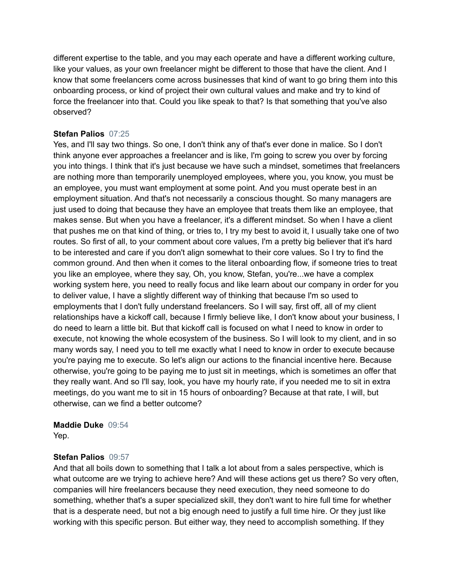different expertise to the table, and you may each operate and have a different working culture, like your values, as your own freelancer might be different to those that have the client. And I know that some freelancers come across businesses that kind of want to go bring them into this onboarding process, or kind of project their own cultural values and make and try to kind of force the freelancer into that. Could you like speak to that? Is that something that you've also observed?

# **Stefan Palios** 07:25

Yes, and I'll say two things. So one, I don't think any of that's ever done in malice. So I don't think anyone ever approaches a freelancer and is like, I'm going to screw you over by forcing you into things. I think that it's just because we have such a mindset, sometimes that freelancers are nothing more than temporarily unemployed employees, where you, you know, you must be an employee, you must want employment at some point. And you must operate best in an employment situation. And that's not necessarily a conscious thought. So many managers are just used to doing that because they have an employee that treats them like an employee, that makes sense. But when you have a freelancer, it's a different mindset. So when I have a client that pushes me on that kind of thing, or tries to, I try my best to avoid it, I usually take one of two routes. So first of all, to your comment about core values, I'm a pretty big believer that it's hard to be interested and care if you don't align somewhat to their core values. So I try to find the common ground. And then when it comes to the literal onboarding flow, if someone tries to treat you like an employee, where they say, Oh, you know, Stefan, you're...we have a complex working system here, you need to really focus and like learn about our company in order for you to deliver value, I have a slightly different way of thinking that because I'm so used to employments that I don't fully understand freelancers. So I will say, first off, all of my client relationships have a kickoff call, because I firmly believe like, I don't know about your business, I do need to learn a little bit. But that kickoff call is focused on what I need to know in order to execute, not knowing the whole ecosystem of the business. So I will look to my client, and in so many words say, I need you to tell me exactly what I need to know in order to execute because you're paying me to execute. So let's align our actions to the financial incentive here. Because otherwise, you're going to be paying me to just sit in meetings, which is sometimes an offer that they really want. And so I'll say, look, you have my hourly rate, if you needed me to sit in extra meetings, do you want me to sit in 15 hours of onboarding? Because at that rate, I will, but otherwise, can we find a better outcome?

# **Maddie Duke** 09:54

Yep.

# **Stefan Palios** 09:57

And that all boils down to something that I talk a lot about from a sales perspective, which is what outcome are we trying to achieve here? And will these actions get us there? So very often, companies will hire freelancers because they need execution, they need someone to do something, whether that's a super specialized skill, they don't want to hire full time for whether that is a desperate need, but not a big enough need to justify a full time hire. Or they just like working with this specific person. But either way, they need to accomplish something. If they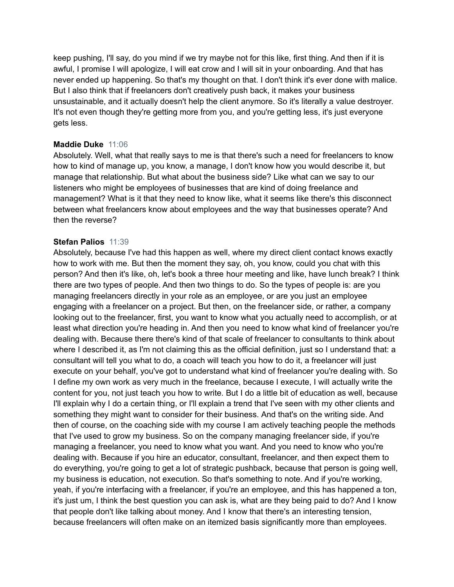keep pushing, I'll say, do you mind if we try maybe not for this like, first thing. And then if it is awful, I promise I will apologize, I will eat crow and I will sit in your onboarding. And that has never ended up happening. So that's my thought on that. I don't think it's ever done with malice. But I also think that if freelancers don't creatively push back, it makes your business unsustainable, and it actually doesn't help the client anymore. So it's literally a value destroyer. It's not even though they're getting more from you, and you're getting less, it's just everyone gets less.

#### **Maddie Duke** 11:06

Absolutely. Well, what that really says to me is that there's such a need for freelancers to know how to kind of manage up, you know, a manage, I don't know how you would describe it, but manage that relationship. But what about the business side? Like what can we say to our listeners who might be employees of businesses that are kind of doing freelance and management? What is it that they need to know like, what it seems like there's this disconnect between what freelancers know about employees and the way that businesses operate? And then the reverse?

# **Stefan Palios** 11:39

Absolutely, because I've had this happen as well, where my direct client contact knows exactly how to work with me. But then the moment they say, oh, you know, could you chat with this person? And then it's like, oh, let's book a three hour meeting and like, have lunch break? I think there are two types of people. And then two things to do. So the types of people is: are you managing freelancers directly in your role as an employee, or are you just an employee engaging with a freelancer on a project. But then, on the freelancer side, or rather, a company looking out to the freelancer, first, you want to know what you actually need to accomplish, or at least what direction you're heading in. And then you need to know what kind of freelancer you're dealing with. Because there there's kind of that scale of freelancer to consultants to think about where I described it, as I'm not claiming this as the official definition, just so I understand that: a consultant will tell you what to do, a coach will teach you how to do it, a freelancer will just execute on your behalf, you've got to understand what kind of freelancer you're dealing with. So I define my own work as very much in the freelance, because I execute, I will actually write the content for you, not just teach you how to write. But I do a little bit of education as well, because I'll explain why I do a certain thing, or I'll explain a trend that I've seen with my other clients and something they might want to consider for their business. And that's on the writing side. And then of course, on the coaching side with my course I am actively teaching people the methods that I've used to grow my business. So on the company managing freelancer side, if you're managing a freelancer, you need to know what you want. And you need to know who you're dealing with. Because if you hire an educator, consultant, freelancer, and then expect them to do everything, you're going to get a lot of strategic pushback, because that person is going well, my business is education, not execution. So that's something to note. And if you're working, yeah, if you're interfacing with a freelancer, if you're an employee, and this has happened a ton, it's just um, I think the best question you can ask is, what are they being paid to do? And I know that people don't like talking about money. And I know that there's an interesting tension, because freelancers will often make on an itemized basis significantly more than employees.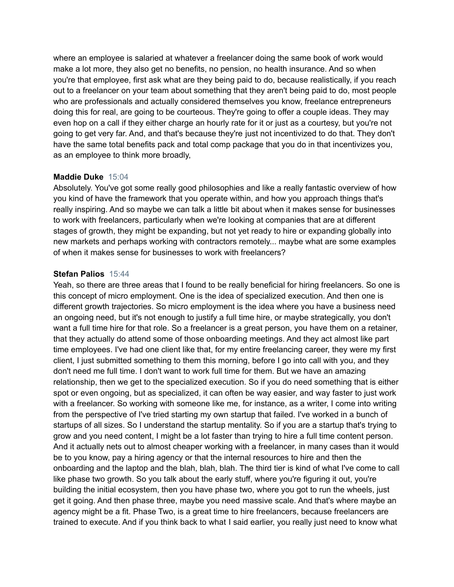where an employee is salaried at whatever a freelancer doing the same book of work would make a lot more, they also get no benefits, no pension, no health insurance. And so when you're that employee, first ask what are they being paid to do, because realistically, if you reach out to a freelancer on your team about something that they aren't being paid to do, most people who are professionals and actually considered themselves you know, freelance entrepreneurs doing this for real, are going to be courteous. They're going to offer a couple ideas. They may even hop on a call if they either charge an hourly rate for it or just as a courtesy, but you're not going to get very far. And, and that's because they're just not incentivized to do that. They don't have the same total benefits pack and total comp package that you do in that incentivizes you, as an employee to think more broadly,

# **Maddie Duke** 15:04

Absolutely. You've got some really good philosophies and like a really fantastic overview of how you kind of have the framework that you operate within, and how you approach things that's really inspiring. And so maybe we can talk a little bit about when it makes sense for businesses to work with freelancers, particularly when we're looking at companies that are at different stages of growth, they might be expanding, but not yet ready to hire or expanding globally into new markets and perhaps working with contractors remotely... maybe what are some examples of when it makes sense for businesses to work with freelancers?

#### **Stefan Palios** 15:44

Yeah, so there are three areas that I found to be really beneficial for hiring freelancers. So one is this concept of micro employment. One is the idea of specialized execution. And then one is different growth trajectories. So micro employment is the idea where you have a business need an ongoing need, but it's not enough to justify a full time hire, or maybe strategically, you don't want a full time hire for that role. So a freelancer is a great person, you have them on a retainer, that they actually do attend some of those onboarding meetings. And they act almost like part time employees. I've had one client like that, for my entire freelancing career, they were my first client, I just submitted something to them this morning, before I go into call with you, and they don't need me full time. I don't want to work full time for them. But we have an amazing relationship, then we get to the specialized execution. So if you do need something that is either spot or even ongoing, but as specialized, it can often be way easier, and way faster to just work with a freelancer. So working with someone like me, for instance, as a writer, I come into writing from the perspective of I've tried starting my own startup that failed. I've worked in a bunch of startups of all sizes. So I understand the startup mentality. So if you are a startup that's trying to grow and you need content, I might be a lot faster than trying to hire a full time content person. And it actually nets out to almost cheaper working with a freelancer, in many cases than it would be to you know, pay a hiring agency or that the internal resources to hire and then the onboarding and the laptop and the blah, blah, blah. The third tier is kind of what I've come to call like phase two growth. So you talk about the early stuff, where you're figuring it out, you're building the initial ecosystem, then you have phase two, where you got to run the wheels, just get it going. And then phase three, maybe you need massive scale. And that's where maybe an agency might be a fit. Phase Two, is a great time to hire freelancers, because freelancers are trained to execute. And if you think back to what I said earlier, you really just need to know what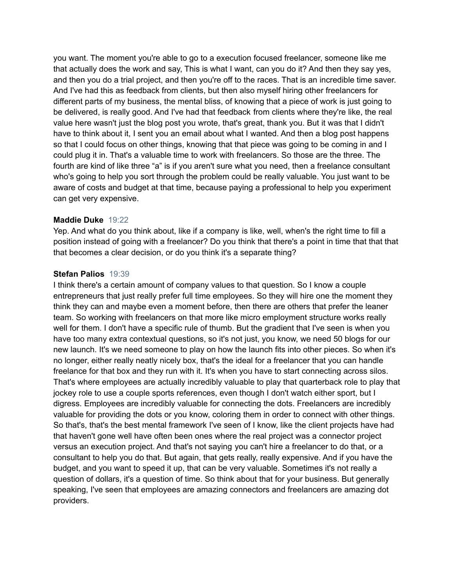you want. The moment you're able to go to a execution focused freelancer, someone like me that actually does the work and say, This is what I want, can you do it? And then they say yes, and then you do a trial project, and then you're off to the races. That is an incredible time saver. And I've had this as feedback from clients, but then also myself hiring other freelancers for different parts of my business, the mental bliss, of knowing that a piece of work is just going to be delivered, is really good. And I've had that feedback from clients where they're like, the real value here wasn't just the blog post you wrote, that's great, thank you. But it was that I didn't have to think about it, I sent you an email about what I wanted. And then a blog post happens so that I could focus on other things, knowing that that piece was going to be coming in and I could plug it in. That's a valuable time to work with freelancers. So those are the three. The fourth are kind of like three "a" is if you aren't sure what you need, then a freelance consultant who's going to help you sort through the problem could be really valuable. You just want to be aware of costs and budget at that time, because paying a professional to help you experiment can get very expensive.

#### **Maddie Duke** 19:22

Yep. And what do you think about, like if a company is like, well, when's the right time to fill a position instead of going with a freelancer? Do you think that there's a point in time that that that that becomes a clear decision, or do you think it's a separate thing?

#### **Stefan Palios** 19:39

I think there's a certain amount of company values to that question. So I know a couple entrepreneurs that just really prefer full time employees. So they will hire one the moment they think they can and maybe even a moment before, then there are others that prefer the leaner team. So working with freelancers on that more like micro employment structure works really well for them. I don't have a specific rule of thumb. But the gradient that I've seen is when you have too many extra contextual questions, so it's not just, you know, we need 50 blogs for our new launch. It's we need someone to play on how the launch fits into other pieces. So when it's no longer, either really neatly nicely box, that's the ideal for a freelancer that you can handle freelance for that box and they run with it. It's when you have to start connecting across silos. That's where employees are actually incredibly valuable to play that quarterback role to play that jockey role to use a couple sports references, even though I don't watch either sport, but I digress. Employees are incredibly valuable for connecting the dots. Freelancers are incredibly valuable for providing the dots or you know, coloring them in order to connect with other things. So that's, that's the best mental framework I've seen of I know, like the client projects have had that haven't gone well have often been ones where the real project was a connector project versus an execution project. And that's not saying you can't hire a freelancer to do that, or a consultant to help you do that. But again, that gets really, really expensive. And if you have the budget, and you want to speed it up, that can be very valuable. Sometimes it's not really a question of dollars, it's a question of time. So think about that for your business. But generally speaking, I've seen that employees are amazing connectors and freelancers are amazing dot providers.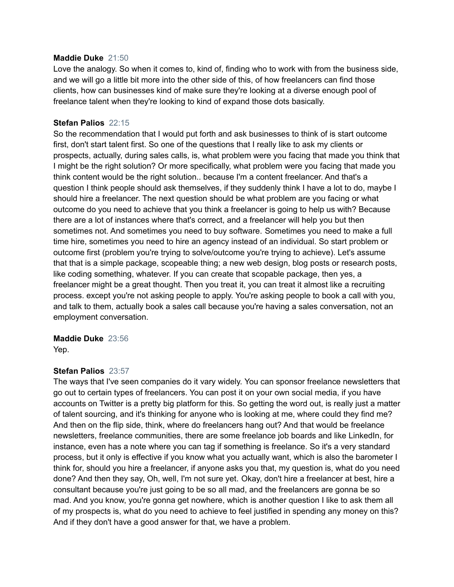#### **Maddie Duke** 21:50

Love the analogy. So when it comes to, kind of, finding who to work with from the business side, and we will go a little bit more into the other side of this, of how freelancers can find those clients, how can businesses kind of make sure they're looking at a diverse enough pool of freelance talent when they're looking to kind of expand those dots basically.

#### **Stefan Palios** 22:15

So the recommendation that I would put forth and ask businesses to think of is start outcome first, don't start talent first. So one of the questions that I really like to ask my clients or prospects, actually, during sales calls, is, what problem were you facing that made you think that I might be the right solution? Or more specifically, what problem were you facing that made you think content would be the right solution.. because I'm a content freelancer. And that's a question I think people should ask themselves, if they suddenly think I have a lot to do, maybe I should hire a freelancer. The next question should be what problem are you facing or what outcome do you need to achieve that you think a freelancer is going to help us with? Because there are a lot of instances where that's correct, and a freelancer will help you but then sometimes not. And sometimes you need to buy software. Sometimes you need to make a full time hire, sometimes you need to hire an agency instead of an individual. So start problem or outcome first (problem you're trying to solve/outcome you're trying to achieve). Let's assume that that is a simple package, scopeable thing; a new web design, blog posts or research posts, like coding something, whatever. If you can create that scopable package, then yes, a freelancer might be a great thought. Then you treat it, you can treat it almost like a recruiting process. except you're not asking people to apply. You're asking people to book a call with you, and talk to them, actually book a sales call because you're having a sales conversation, not an employment conversation.

#### **Maddie Duke** 23:56

Yep.

# **Stefan Palios** 23:57

The ways that I've seen companies do it vary widely. You can sponsor freelance newsletters that go out to certain types of freelancers. You can post it on your own social media, if you have accounts on Twitter is a pretty big platform for this. So getting the word out, is really just a matter of talent sourcing, and it's thinking for anyone who is looking at me, where could they find me? And then on the flip side, think, where do freelancers hang out? And that would be freelance newsletters, freelance communities, there are some freelance job boards and like LinkedIn, for instance, even has a note where you can tag if something is freelance. So it's a very standard process, but it only is effective if you know what you actually want, which is also the barometer I think for, should you hire a freelancer, if anyone asks you that, my question is, what do you need done? And then they say, Oh, well, I'm not sure yet. Okay, don't hire a freelancer at best, hire a consultant because you're just going to be so all mad, and the freelancers are gonna be so mad. And you know, you're gonna get nowhere, which is another question I like to ask them all of my prospects is, what do you need to achieve to feel justified in spending any money on this? And if they don't have a good answer for that, we have a problem.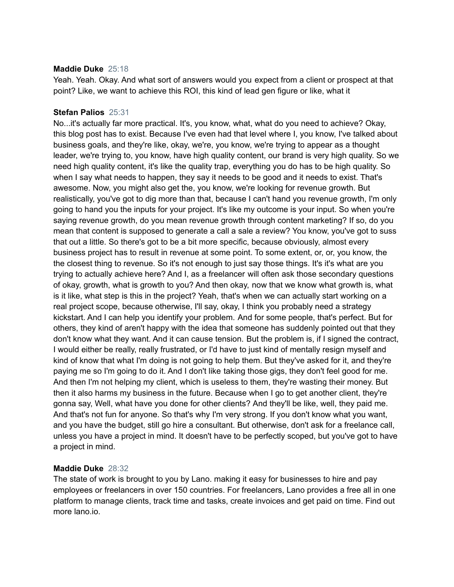#### **Maddie Duke** 25:18

Yeah. Yeah. Okay. And what sort of answers would you expect from a client or prospect at that point? Like, we want to achieve this ROI, this kind of lead gen figure or like, what it

#### **Stefan Palios** 25:31

No...it's actually far more practical. It's, you know, what, what do you need to achieve? Okay, this blog post has to exist. Because I've even had that level where I, you know, I've talked about business goals, and they're like, okay, we're, you know, we're trying to appear as a thought leader, we're trying to, you know, have high quality content, our brand is very high quality. So we need high quality content, it's like the quality trap, everything you do has to be high quality. So when I say what needs to happen, they say it needs to be good and it needs to exist. That's awesome. Now, you might also get the, you know, we're looking for revenue growth. But realistically, you've got to dig more than that, because I can't hand you revenue growth, I'm only going to hand you the inputs for your project. It's like my outcome is your input. So when you're saying revenue growth, do you mean revenue growth through content marketing? If so, do you mean that content is supposed to generate a call a sale a review? You know, you've got to suss that out a little. So there's got to be a bit more specific, because obviously, almost every business project has to result in revenue at some point. To some extent, or, or, you know, the the closest thing to revenue. So it's not enough to just say those things. It's it's what are you trying to actually achieve here? And I, as a freelancer will often ask those secondary questions of okay, growth, what is growth to you? And then okay, now that we know what growth is, what is it like, what step is this in the project? Yeah, that's when we can actually start working on a real project scope, because otherwise, I'll say, okay, I think you probably need a strategy kickstart. And I can help you identify your problem. And for some people, that's perfect. But for others, they kind of aren't happy with the idea that someone has suddenly pointed out that they don't know what they want. And it can cause tension. But the problem is, if I signed the contract, I would either be really, really frustrated, or I'd have to just kind of mentally resign myself and kind of know that what I'm doing is not going to help them. But they've asked for it, and they're paying me so I'm going to do it. And I don't like taking those gigs, they don't feel good for me. And then I'm not helping my client, which is useless to them, they're wasting their money. But then it also harms my business in the future. Because when I go to get another client, they're gonna say, Well, what have you done for other clients? And they'll be like, well, they paid me. And that's not fun for anyone. So that's why I'm very strong. If you don't know what you want, and you have the budget, still go hire a consultant. But otherwise, don't ask for a freelance call, unless you have a project in mind. It doesn't have to be perfectly scoped, but you've got to have a project in mind.

# **Maddie Duke** 28:32

The state of work is brought to you by Lano. making it easy for businesses to hire and pay employees or freelancers in over 150 countries. For freelancers, Lano provides a free all in one platform to manage clients, track time and tasks, create invoices and get paid on time. Find out more lano.io.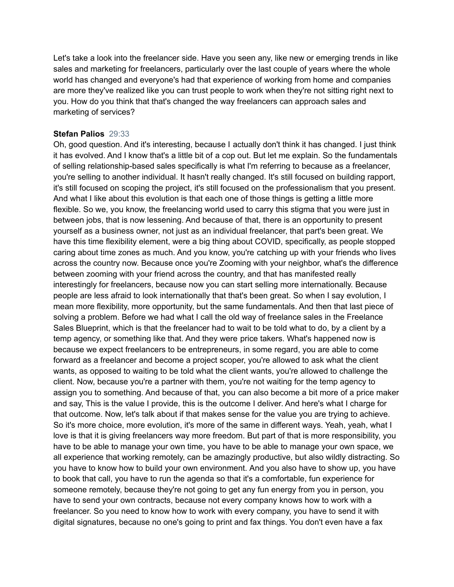Let's take a look into the freelancer side. Have you seen any, like new or emerging trends in like sales and marketing for freelancers, particularly over the last couple of years where the whole world has changed and everyone's had that experience of working from home and companies are more they've realized like you can trust people to work when they're not sitting right next to you. How do you think that that's changed the way freelancers can approach sales and marketing of services?

#### **Stefan Palios** 29:33

Oh, good question. And it's interesting, because I actually don't think it has changed. I just think it has evolved. And I know that's a little bit of a cop out. But let me explain. So the fundamentals of selling relationship-based sales specifically is what I'm referring to because as a freelancer, you're selling to another individual. It hasn't really changed. It's still focused on building rapport, it's still focused on scoping the project, it's still focused on the professionalism that you present. And what I like about this evolution is that each one of those things is getting a little more flexible. So we, you know, the freelancing world used to carry this stigma that you were just in between jobs, that is now lessening. And because of that, there is an opportunity to present yourself as a business owner, not just as an individual freelancer, that part's been great. We have this time flexibility element, were a big thing about COVID, specifically, as people stopped caring about time zones as much. And you know, you're catching up with your friends who lives across the country now. Because once you're Zooming with your neighbor, what's the difference between zooming with your friend across the country, and that has manifested really interestingly for freelancers, because now you can start selling more internationally. Because people are less afraid to look internationally that that's been great. So when I say evolution, I mean more flexibility, more opportunity, but the same fundamentals. And then that last piece of solving a problem. Before we had what I call the old way of freelance sales in the Freelance Sales Blueprint, which is that the freelancer had to wait to be told what to do, by a client by a temp agency, or something like that. And they were price takers. What's happened now is because we expect freelancers to be entrepreneurs, in some regard, you are able to come forward as a freelancer and become a project scoper, you're allowed to ask what the client wants, as opposed to waiting to be told what the client wants, you're allowed to challenge the client. Now, because you're a partner with them, you're not waiting for the temp agency to assign you to something. And because of that, you can also become a bit more of a price maker and say, This is the value I provide, this is the outcome I deliver. And here's what I charge for that outcome. Now, let's talk about if that makes sense for the value you are trying to achieve. So it's more choice, more evolution, it's more of the same in different ways. Yeah, yeah, what I love is that it is giving freelancers way more freedom. But part of that is more responsibility, you have to be able to manage your own time, you have to be able to manage your own space, we all experience that working remotely, can be amazingly productive, but also wildly distracting. So you have to know how to build your own environment. And you also have to show up, you have to book that call, you have to run the agenda so that it's a comfortable, fun experience for someone remotely, because they're not going to get any fun energy from you in person, you have to send your own contracts, because not every company knows how to work with a freelancer. So you need to know how to work with every company, you have to send it with digital signatures, because no one's going to print and fax things. You don't even have a fax